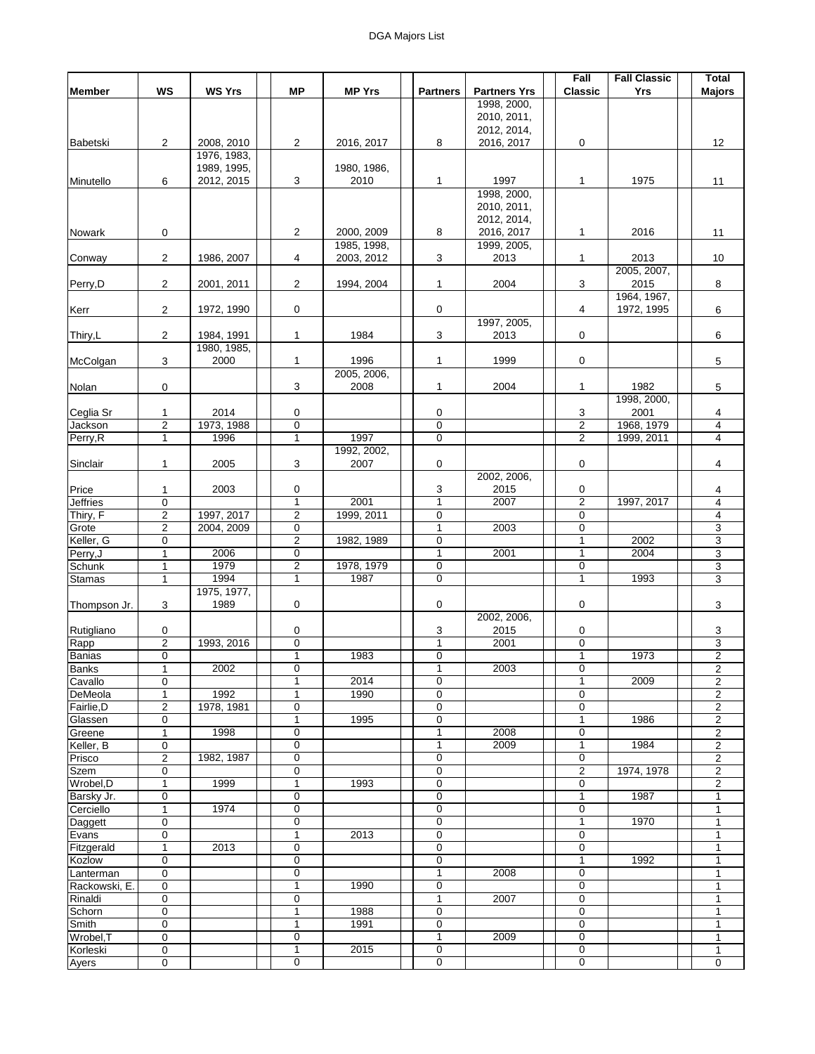|                 |                         |               |                |               |                 |                     | Fall           | <b>Fall Classic</b> | <b>Total</b>            |
|-----------------|-------------------------|---------------|----------------|---------------|-----------------|---------------------|----------------|---------------------|-------------------------|
| <b>Member</b>   | <b>WS</b>               | <b>WS Yrs</b> | <b>MP</b>      | <b>MP Yrs</b> | <b>Partners</b> | <b>Partners Yrs</b> | <b>Classic</b> | Yrs                 | <b>Majors</b>           |
|                 |                         |               |                |               |                 | 1998, 2000,         |                |                     |                         |
|                 |                         |               |                |               |                 | 2010, 2011,         |                |                     |                         |
|                 |                         |               |                |               |                 | 2012, 2014,         |                |                     |                         |
| Babetski        | $\overline{2}$          | 2008, 2010    | $\overline{2}$ | 2016, 2017    | 8               | 2016, 2017          | 0              |                     | 12                      |
|                 |                         | 1976, 1983,   |                |               |                 |                     |                |                     |                         |
|                 |                         | 1989, 1995,   |                | 1980, 1986,   |                 |                     |                |                     |                         |
| Minutello       | 6                       | 2012, 2015    | 3              | 2010          | 1               | 1997                | 1              | 1975                | 11                      |
|                 |                         |               |                |               |                 | 1998, 2000,         |                |                     |                         |
|                 |                         |               |                |               |                 | 2010, 2011,         |                |                     |                         |
|                 |                         |               |                |               |                 | 2012, 2014,         |                |                     |                         |
| Nowark          | 0                       |               | $\overline{2}$ | 2000, 2009    | 8               | 2016, 2017          | 1              | 2016                | 11                      |
|                 |                         |               |                | 1985, 1998,   |                 | 1999, 2005,         |                |                     | 10                      |
| Conway          | 2                       | 1986, 2007    | 4              | 2003, 2012    | 3               | 2013                | 1              | 2013<br>2005, 2007, |                         |
| Perry,D         | $\overline{2}$          | 2001, 2011    | $\overline{2}$ | 1994, 2004    | $\mathbf{1}$    | 2004                | 3              | 2015                | 8                       |
|                 |                         |               |                |               |                 |                     |                | 1964, 1967,         |                         |
| Kerr            | $\overline{c}$          | 1972, 1990    | 0              |               | 0               |                     | 4              | 1972, 1995          | 6                       |
|                 |                         |               |                |               |                 | 1997, 2005,         |                |                     |                         |
| Thiry,L         | $\overline{2}$          | 1984, 1991    | 1              | 1984          | 3               | 2013                | 0              |                     | 6                       |
|                 |                         | 1980, 1985,   |                |               |                 |                     |                |                     |                         |
| McColgan        | 3                       | 2000          | $\mathbf{1}$   | 1996          | 1               | 1999                | 0              |                     | 5                       |
|                 |                         |               |                | 2005, 2006,   |                 |                     |                |                     |                         |
| Nolan           | 0                       |               | 3              | 2008          | 1               | 2004                | 1              | 1982                | 5                       |
|                 |                         |               |                |               |                 |                     |                | 1998, 2000,         |                         |
| Ceglia Sr       | 1                       | 2014          | 0              |               | 0               |                     | 3              | 2001                | 4                       |
| Jackson         | $\overline{\mathbf{c}}$ | 1973, 1988    | $\mathbf 0$    |               | 0               |                     | 2              | 1968, 1979          | $\overline{\mathbf{4}}$ |
| Perry, R        | $\mathbf{1}$            | 1996          | $\overline{1}$ | 1997          | $\overline{0}$  |                     | $\overline{2}$ | 1999, 2011          | $\overline{\mathbf{4}}$ |
|                 |                         |               |                | 1992, 2002,   |                 |                     |                |                     |                         |
| Sinclair        | $\mathbf{1}$            | 2005          | 3              | 2007          | 0               |                     | 0              |                     | 4                       |
|                 |                         |               |                |               |                 | 2002, 2006,         |                |                     |                         |
| Price           | 1                       | 2003          | 0              |               | 3               | 2015                | 0              |                     | 4                       |
| <b>Jeffries</b> | $\mathbf 0$             |               | $\mathbf{1}$   | 2001          | $\mathbf{1}$    | 2007                | $\overline{2}$ | 1997, 2017          | 4                       |
| Thiry, F        | $\overline{\mathbf{c}}$ | 1997, 2017    | $\overline{c}$ | 1999, 2011    | 0               |                     | 0              |                     | $\overline{\mathbf{4}}$ |
| Grote           | $\overline{2}$          | 2004, 2009    | 0              |               | 1               | 2003                | $\mathbf 0$    |                     | 3                       |
| Keller, G       | 0                       |               | $\overline{2}$ | 1982, 1989    | 0               |                     | 1              | 2002                | $\overline{3}$          |
| Perry, J        | 1                       | 2006          | 0              |               | 1               | 2001                | 1              | 2004                | 3                       |
| Schunk          | $\mathbf{1}$            | 1979          | $\overline{2}$ | 1978, 1979    | 0               |                     | $\mathbf 0$    |                     | $\overline{3}$          |
| <b>Stamas</b>   | $\mathbf{1}$            | 1994          | $\mathbf{1}$   | 1987          | 0               |                     | $\mathbf{1}$   | 1993                | 3                       |
|                 |                         | 1975, 1977,   |                |               |                 |                     |                |                     |                         |
| Thompson Jr.    | 3                       | 1989          | 0              |               | 0               |                     | 0              |                     | 3                       |
|                 |                         |               |                |               |                 | 2002, 2006,         |                |                     |                         |
| Rutigliano      | 0                       |               | 0              |               | 3               | 2015                | 0              |                     | 3                       |
| Rapp            | $\overline{2}$          | 1993, 2016    | $\mathbf 0$    |               | $\mathbf{1}$    | 2001                | 0              |                     | 3                       |
| <b>Banias</b>   | 0                       |               | 1              | 1983          | 0               |                     | 1              | 1973                | $\overline{2}$          |
| <b>Banks</b>    | $\mathbf 1$             | 2002          | $\overline{0}$ |               | 1               | 2003                | 0              |                     | $\overline{2}$          |
| Cavallo         | 0                       |               | 1              | 2014          | 0               |                     | 1              | 2009                | $\overline{2}$          |
| DeMeola         | 1                       | 1992          |                | 1990          | 0               |                     | $\Omega$       |                     | 2                       |
| Fairlie, D      | $\overline{2}$          | 1978, 1981    | 0              |               | 0               |                     | 0              |                     | $\overline{\mathbf{c}}$ |
| Glassen         | 0                       |               | $\mathbf{1}$   | 1995          | 0               |                     | $\mathbf{1}$   | 1986                | $\overline{\mathbf{c}}$ |
| Greene          | $\mathbf{1}$            | 1998          | 0              |               | 1               | 2008                | $\mathbf 0$    |                     | $\overline{2}$          |
| Keller, B       | 0                       |               | 0              |               | 1               | 2009                | 1              | 1984                | $\overline{c}$          |
| Prisco          | $\overline{\mathbf{c}}$ | 1982, 1987    | $\mathbf 0$    |               | 0               |                     | 0              |                     | 2                       |
| Szem            | 0                       |               | $\mathbf 0$    |               | 0               |                     | 2              | 1974, 1978          | $\overline{2}$          |
| Wrobel, D       | 1                       | 1999          | 1              | 1993          | 0               |                     | 0              |                     | 2                       |
| Barsky Jr.      | 0                       |               | $\mathbf 0$    |               | 0               |                     | 1              | 1987                | 1                       |
| Cerciello       | 1                       | 1974          | 0              |               | 0               |                     | 0              |                     | 1                       |
| Daggett         | 0                       |               | $\mathbf 0$    |               | 0               |                     |                | 1970                | 1                       |
| Evans           | 0                       |               | $\mathbf{1}$   | 2013          | 0               |                     | 0              |                     | $\mathbf{1}$            |
| Fitzgerald      | 1                       | 2013          | 0              |               | $\mathbf 0$     |                     | 0              |                     | 1                       |
| Kozlow          | 0                       |               | $\mathbf 0$    |               | 0               |                     | 1              | 1992                | 1                       |
| Lanterman       | 0                       |               | 0              |               | 1               | 2008                | 0              |                     | 1                       |
| Rackowski, E.   | 0                       |               | 1              | 1990          | 0               |                     | 0              |                     | 1                       |
| Rinaldi         | 0                       |               | 0              |               | 1               | 2007                | 0              |                     | $\mathbf{1}$            |
| Schorn          | 0                       |               | 1              | 1988          | 0               |                     | 0              |                     | 1                       |
| Smith           | 0                       |               | 1              | 1991          | 0               |                     | 0              |                     | 1                       |
| Wrobel, T       | 0                       |               | 0              |               | 1               | 2009                | $\mathbf 0$    |                     | 1                       |
| Korleski        | 0                       |               | 1              | 2015          | 0               |                     | 0              |                     | 1                       |
| Ayers           | 0                       |               | 0              |               | 0               |                     | $\overline{0}$ |                     | $\mathbf 0$             |